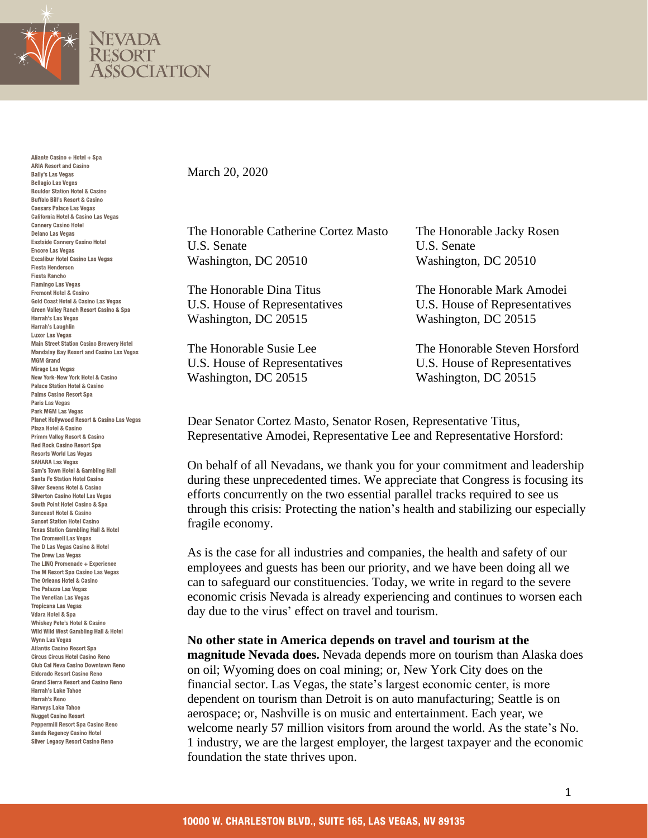

Aliante Casino + Hotel + Spa **ARIA Resort and Casino Bally's Las Vegas Bellagio Las Vegas Boulder Station Hotel & Casino Buffalo Bill's Resort & Casino** Caesars Palace Las Venas California Hotel & Casino Las Vegas **Cannery Casino Hotel Delano Las Vegas** Eastside Cannery Casino Hotel **Encore Las Vegas Excalibur Hotel Casino Las Vegas Fiesta Henderson Fiesta Rancho Flamingo Las Vegas** Fremont Hotel & Casino Gold Coast Hotel & Casino Las Vegas Green Valley Ranch Resort Casino & Spa Harrah's Las Vegas Harrah's Laughlin **Luxor Las Vegas Main Street Station Casino Brewery Hotel Mandalay Bay Resort and Casino Las Vegas MGM Grand Mirage Las Vegas** New York-New York Hotel & Casino **Palace Station Hotel & Casino** Palms Casino Resort Spa Paris Las Vegas Park MGM Las Vegas Planet Hollywood Resort & Casino Las Vegas Plaza Hotel & Casino Primm Valley Resort & Casino **Red Rock Casino Resort Spa Resorts World Las Vegas SAHARA Las Vegas** Sam's Town Hotel & Gambling Hall Santa Fe Station Hotel Casino Silver Sevens Hotel & Casino Silverton Casino Hotel Las Vegas South Point Hotel Casino & Spa Suncoast Hotel & Casino **Sunset Station Hotel Casino Texas Station Gambling Hall & Hotel** The Cromwell Las Vegas The D Las Vegas Casino & Hotel The Drew Las Vegas The LINQ Promenade + Experience The M Resort Spa Casino Las Vegas The Orleans Hotel & Casino The Palazzo Las Vegas The Venetian Las Vegas **Tropicana Las Vegas** Vdara Hotel & Spa Whiskey Pete's Hotel & Casino Wild Wild West Gambling Hall & Hotel **Wynn Las Vegas Atlantis Casino Resort Spa Circus Circus Hotel Casino Reno** Club Cal Neva Casino Downtown Reno Eldorado Resort Casino Reno **Grand Sierra Resort and Casino Reno** Harrah's Lake Tahoe Harrah's Reno **Harveys Lake Tahoe Nugget Casino Resort** Peppermill Resort Spa Casino Reno **Sands Regency Casino Hotel Silver Legacy Resort Casino Reno** 

## March 20, 2020

The Honorable Catherine Cortez Masto The Honorable Jacky Rosen U.S. Senate U.S. Senate Washington, DC 20510 Washington, DC 20510

Washington, DC 20515 Washington, DC 20515

Washington, DC 20515 Washington, DC 20515

The Honorable Dina Titus The Honorable Mark Amodei U.S. House of Representatives U.S. House of Representatives

The Honorable Susie Lee The Honorable Steven Horsford U.S. House of Representatives U.S. House of Representatives

Dear Senator Cortez Masto, Senator Rosen, Representative Titus, Representative Amodei, Representative Lee and Representative Horsford:

On behalf of all Nevadans, we thank you for your commitment and leadership during these unprecedented times. We appreciate that Congress is focusing its efforts concurrently on the two essential parallel tracks required to see us through this crisis: Protecting the nation's health and stabilizing our especially fragile economy.

As is the case for all industries and companies, the health and safety of our employees and guests has been our priority, and we have been doing all we can to safeguard our constituencies. Today, we write in regard to the severe economic crisis Nevada is already experiencing and continues to worsen each day due to the virus' effect on travel and tourism.

## **No other state in America depends on travel and tourism at the**

**magnitude Nevada does.** Nevada depends more on tourism than Alaska does on oil; Wyoming does on coal mining; or, New York City does on the financial sector. Las Vegas, the state's largest economic center, is more dependent on tourism than Detroit is on auto manufacturing; Seattle is on aerospace; or, Nashville is on music and entertainment. Each year, we welcome nearly 57 million visitors from around the world. As the state's No. 1 industry, we are the largest employer, the largest taxpayer and the economic foundation the state thrives upon.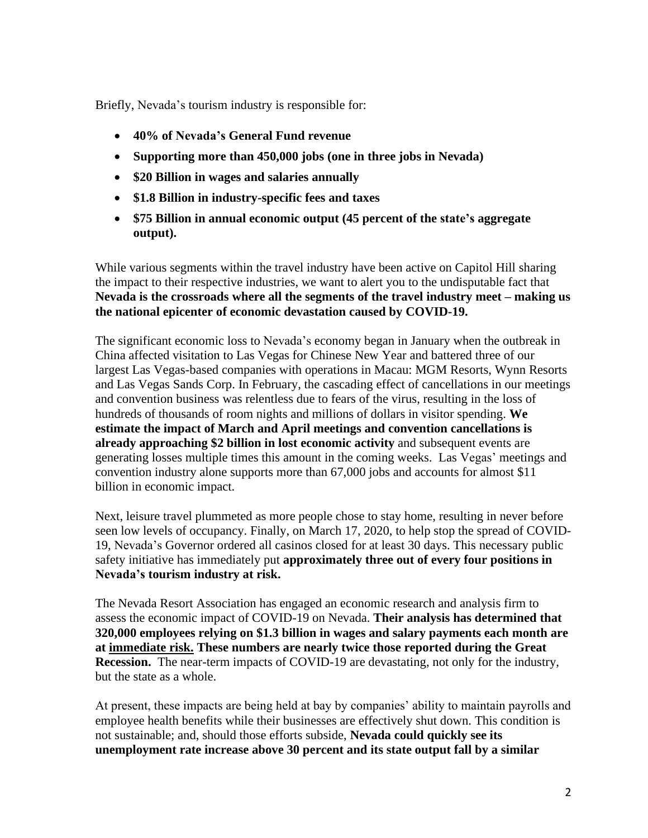Briefly, Nevada's tourism industry is responsible for:

- **40% of Nevada's General Fund revenue**
- **Supporting more than 450,000 jobs (one in three jobs in Nevada)**
- **\$20 Billion in wages and salaries annually**
- **\$1.8 Billion in industry-specific fees and taxes**
- **\$75 Billion in annual economic output (45 percent of the state's aggregate output).**

While various segments within the travel industry have been active on Capitol Hill sharing the impact to their respective industries, we want to alert you to the undisputable fact that **Nevada is the crossroads where all the segments of the travel industry meet – making us the national epicenter of economic devastation caused by COVID-19.**

The significant economic loss to Nevada's economy began in January when the outbreak in China affected visitation to Las Vegas for Chinese New Year and battered three of our largest Las Vegas-based companies with operations in Macau: MGM Resorts, Wynn Resorts and Las Vegas Sands Corp. In February, the cascading effect of cancellations in our meetings and convention business was relentless due to fears of the virus, resulting in the loss of hundreds of thousands of room nights and millions of dollars in visitor spending. **We estimate the impact of March and April meetings and convention cancellations is already approaching \$2 billion in lost economic activity** and subsequent events are generating losses multiple times this amount in the coming weeks. Las Vegas' meetings and convention industry alone supports more than 67,000 jobs and accounts for almost \$11 billion in economic impact.

Next, leisure travel plummeted as more people chose to stay home, resulting in never before seen low levels of occupancy. Finally, on March 17, 2020, to help stop the spread of COVID-19, Nevada's Governor ordered all casinos closed for at least 30 days. This necessary public safety initiative has immediately put **approximately three out of every four positions in Nevada's tourism industry at risk.**

The Nevada Resort Association has engaged an economic research and analysis firm to assess the economic impact of COVID-19 on Nevada. **Their analysis has determined that 320,000 employees relying on \$1.3 billion in wages and salary payments each month are at immediate risk. These numbers are nearly twice those reported during the Great Recession.** The near-term impacts of COVID-19 are devastating, not only for the industry, but the state as a whole.

At present, these impacts are being held at bay by companies' ability to maintain payrolls and employee health benefits while their businesses are effectively shut down. This condition is not sustainable; and, should those efforts subside, **Nevada could quickly see its unemployment rate increase above 30 percent and its state output fall by a similar**